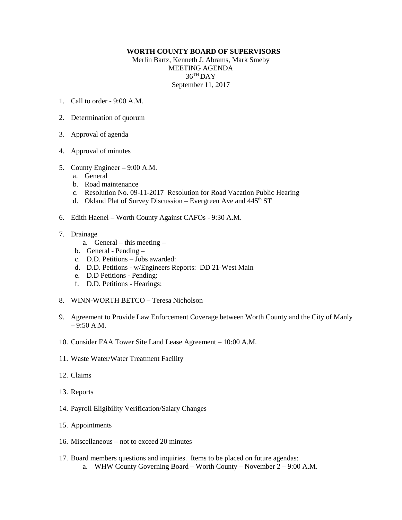## **WORTH COUNTY BOARD OF SUPERVISORS**

Merlin Bartz, Kenneth J. Abrams, Mark Smeby MEETING AGENDA 36TH DAY September 11, 2017

- 1. Call to order  $9.00 \text{ A M}$
- 2. Determination of quorum
- 3. Approval of agenda
- 4. Approval of minutes
- 5. County Engineer 9:00 A.M.
	- a. General
	- b. Road maintenance
	- c. Resolution No. 09-11-2017 Resolution for Road Vacation Public Hearing
	- d. Okland Plat of Survey Discussion Evergreen Ave and 445<sup>th</sup> ST
- 6. Edith Haenel Worth County Against CAFOs 9:30 A.M.
- 7. Drainage
	- a. General this meeting –
	- b. General Pending –
	- c. D.D. Petitions Jobs awarded:
	- d. D.D. Petitions w/Engineers Reports: DD 21-West Main
	- e. D.D Petitions Pending:
	- f. D.D. Petitions Hearings:
- 8. WINN-WORTH BETCO Teresa Nicholson
- 9. Agreement to Provide Law Enforcement Coverage between Worth County and the City of Manly – 9:50 A.M.
- 10. Consider FAA Tower Site Land Lease Agreement 10:00 A.M.
- 11. Waste Water/Water Treatment Facility
- 12. Claims
- 13. Reports
- 14. Payroll Eligibility Verification/Salary Changes
- 15. Appointments
- 16. Miscellaneous not to exceed 20 minutes
- 17. Board members questions and inquiries. Items to be placed on future agendas: a. WHW County Governing Board – Worth County – November 2 – 9:00 A.M.